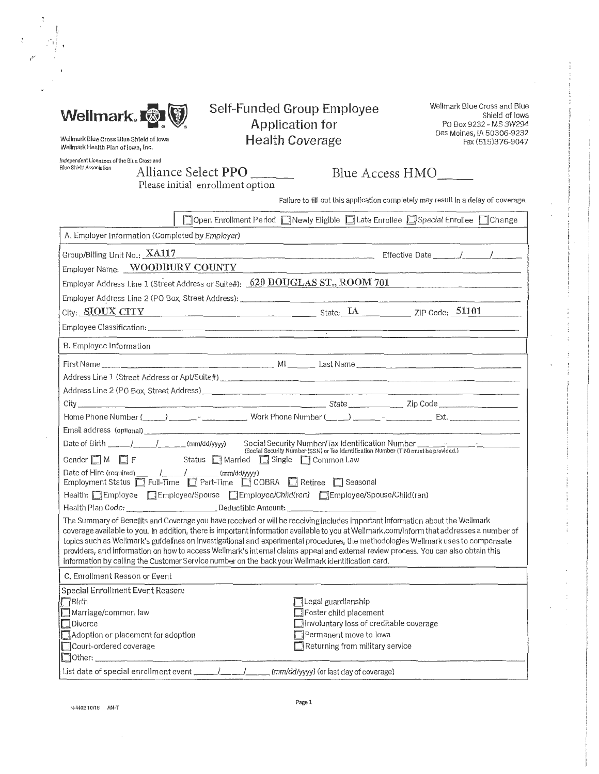

# Self-Funded Group Employee Application for Health Coverage

Wellmark Blue Cross and Blue Shield of Iowa PO Box9232 - MS 3W294 Des Moines, IA 50306-9232 Fax (515)376-9047

Wellmark Blue Cross Blue Shield of lowa Wellmark Health Plan of Iowa, Inc.

Independent Licensees of the Blue Cross and<br>Blue Shield Association  $\Delta$  11:

;.i·'

Blue Shield Associa tion Alliance Select **PPO** ---- Blue Access HMO - - -- Please initial enrollment option

Failure to fill out this application completely may result in a delay of coverage.

|                                                                                                                                                                                                                                                                            | □ Open Enrollment Period □ Newly Eligible □ Late Enrollee □ Special Enrollee □ Change                |  |  |  |  |
|----------------------------------------------------------------------------------------------------------------------------------------------------------------------------------------------------------------------------------------------------------------------------|------------------------------------------------------------------------------------------------------|--|--|--|--|
| A. Employer Information (Completed by Employer)                                                                                                                                                                                                                            |                                                                                                      |  |  |  |  |
| Group/Billing Unit No.: XA117<br>Employer Name: WOODBURY COUNTY                                                                                                                                                                                                            |                                                                                                      |  |  |  |  |
|                                                                                                                                                                                                                                                                            | Employer Address Line 1 (Street Address or Suite#): 620 DOUGLAS ST., ROOM 701                        |  |  |  |  |
|                                                                                                                                                                                                                                                                            |                                                                                                      |  |  |  |  |
|                                                                                                                                                                                                                                                                            | City: SIOUX CITY CITY SINCE State: LA ZIP Code: 51101                                                |  |  |  |  |
|                                                                                                                                                                                                                                                                            |                                                                                                      |  |  |  |  |
| B. Employee Information                                                                                                                                                                                                                                                    |                                                                                                      |  |  |  |  |
|                                                                                                                                                                                                                                                                            |                                                                                                      |  |  |  |  |
|                                                                                                                                                                                                                                                                            |                                                                                                      |  |  |  |  |
|                                                                                                                                                                                                                                                                            |                                                                                                      |  |  |  |  |
|                                                                                                                                                                                                                                                                            |                                                                                                      |  |  |  |  |
|                                                                                                                                                                                                                                                                            | Home Phone Number (_____) _______ - work Phone Number (____) ______ - ___________ Ext. _____________ |  |  |  |  |
|                                                                                                                                                                                                                                                                            |                                                                                                      |  |  |  |  |
| - Cocial Security Number/Tax Identification Number (Bartication Number ____________________________<br>(Social Security Number (SSN) or Tax Identification Number (TIN) must be provided.)<br>Gender M F F Status Married Single Common Law                                |                                                                                                      |  |  |  |  |
| Date of Hire (required) __ /__ /__ /__ /__ (mm/dd/yyyy)<br>Employment Status <b>T</b> Full-Time <b>T</b> Part-Time <b>T</b> COBRA <b>T</b> Retiree <b>T</b> Seasonal                                                                                                       |                                                                                                      |  |  |  |  |
| Health: Employee EEmployee/Spouse EEmployee/Child(ren) EEmployee/Spouse/Child(ren)                                                                                                                                                                                         |                                                                                                      |  |  |  |  |
| Health Plan Code: _______________________________Deductible Amount: _______________________________                                                                                                                                                                        |                                                                                                      |  |  |  |  |
| The Summary of Benefits and Coverage you have received or will be receiving includes important information about the Wellmark<br>coverage available to you, in addition, there is important information available to you at Wellmark.com/Inform that addresses a number of |                                                                                                      |  |  |  |  |
| topics such as Wellmark's guidelines on investigational and experimental procedures, the methodologies Wellmark uses to compensate                                                                                                                                         |                                                                                                      |  |  |  |  |
| providers, and information on how to access Wellmark's internal claims appeal and external review process. You can also obtain this                                                                                                                                        |                                                                                                      |  |  |  |  |
| information by calling the Customer Service number on the back your Wellmark identification card.                                                                                                                                                                          |                                                                                                      |  |  |  |  |
| C. Enrollment Reason or Event                                                                                                                                                                                                                                              |                                                                                                      |  |  |  |  |
| Special Enrollment Event Reason:                                                                                                                                                                                                                                           |                                                                                                      |  |  |  |  |
| $\Box$ Birth<br>Marriage/common law                                                                                                                                                                                                                                        | Legal guardianship<br><b>El Foster child placement</b>                                               |  |  |  |  |
| $\Box$ Divorce                                                                                                                                                                                                                                                             | Involuntary loss of creditable coverage                                                              |  |  |  |  |
| Adoption or placement for adoption                                                                                                                                                                                                                                         | Permanent move to lowa                                                                               |  |  |  |  |
| Court-ordered coverage                                                                                                                                                                                                                                                     | Returning from military service                                                                      |  |  |  |  |
|                                                                                                                                                                                                                                                                            |                                                                                                      |  |  |  |  |
|                                                                                                                                                                                                                                                                            |                                                                                                      |  |  |  |  |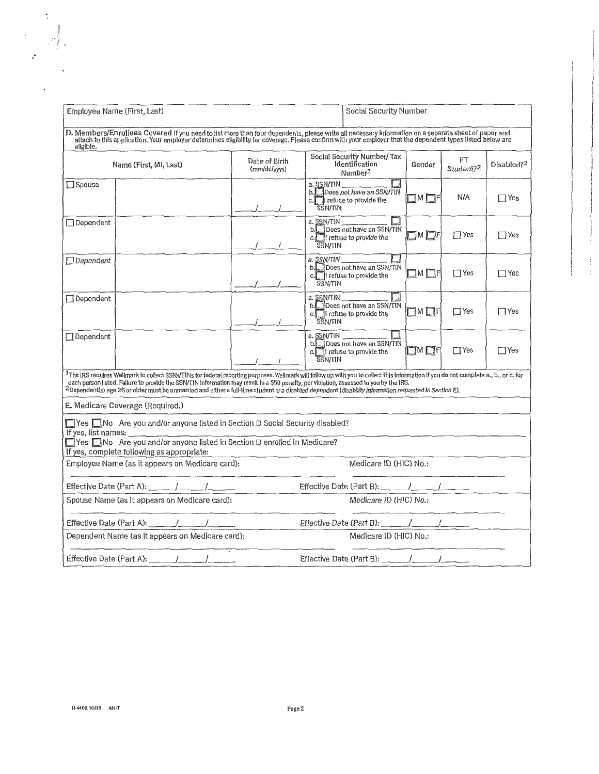|                                                                                                                                                                                                                                                                                                                                                                                                                                                                                                 | Employee Name (First, Last)<br>Social Security Number                         |  |  |                                                                                                                                                                                                                                                                                                                   |                              |                                                                                          |                         |                             |                        |
|-------------------------------------------------------------------------------------------------------------------------------------------------------------------------------------------------------------------------------------------------------------------------------------------------------------------------------------------------------------------------------------------------------------------------------------------------------------------------------------------------|-------------------------------------------------------------------------------|--|--|-------------------------------------------------------------------------------------------------------------------------------------------------------------------------------------------------------------------------------------------------------------------------------------------------------------------|------------------------------|------------------------------------------------------------------------------------------|-------------------------|-----------------------------|------------------------|
| eligible.                                                                                                                                                                                                                                                                                                                                                                                                                                                                                       |                                                                               |  |  | D. Members/Enrollees Covered If you need to list more than four dependents, please write all necessary information on a separate sheet of paper and<br>attach to this application. Your employer determines eligibility for coverage. Please confirm with your employer that the dependent types listed below are |                              |                                                                                          |                         |                             |                        |
|                                                                                                                                                                                                                                                                                                                                                                                                                                                                                                 | Name (First, MI, Last)                                                        |  |  | Date of Birth<br>(mm/dd/yyyy)                                                                                                                                                                                                                                                                                     |                              | Social Security Number/Tax<br>Identification<br>Number <sup>1</sup>                      | Gender                  | FT<br>Student? <sup>2</sup> | Disabled? <sup>2</sup> |
| Spouse                                                                                                                                                                                                                                                                                                                                                                                                                                                                                          |                                                                               |  |  |                                                                                                                                                                                                                                                                                                                   | a. SSN/TIN<br><b>SSN/TIN</b> | Ш<br>b. Does not have an SSN/TIN<br>c.     refuse to provide the                         | <b>IMLF</b>             | N/A                         | $\Box$ Yes             |
| $\Box$ Dependent                                                                                                                                                                                                                                                                                                                                                                                                                                                                                |                                                                               |  |  |                                                                                                                                                                                                                                                                                                                   | <b>SSN/TIN</b>               | a. SSN/TIN<br>b. Does not have an SSN/TIN<br>c. If refuse to provide the                 | $\square$ m $\square$ f | $\Box$ Yes                  | $\Box$ Yes             |
| $\Box$ Dependent                                                                                                                                                                                                                                                                                                                                                                                                                                                                                |                                                                               |  |  |                                                                                                                                                                                                                                                                                                                   | <b>SSN/TIN</b>               | 囗<br>a. SSN/TIN<br>b. Does not have an SSN/TIN<br>c.   refuse to provide the             | $\square$ M $\square$ F | $\Box$ Yes                  | $\Box$ Yes             |
| Dependent                                                                                                                                                                                                                                                                                                                                                                                                                                                                                       |                                                                               |  |  |                                                                                                                                                                                                                                                                                                                   | <b>SSN/TIN</b>               | $\Box$<br>a. SSN/TIN<br>b. Does not have an SSN/TIN<br>c. I refuse to provide the        | $\square$ M $\square$ F | $\Box$ Yes                  | $\Box$ Yes             |
| Dependent                                                                                                                                                                                                                                                                                                                                                                                                                                                                                       |                                                                               |  |  |                                                                                                                                                                                                                                                                                                                   | a. SSN/TIN<br><b>SSN/TIN</b> | $\Box$<br>b. Does not have an SSN/TIN<br>c. <sup>1</sup> I refuse to provide the         | $\square$ M $\square$ F | $\Box$ Yes                  | $\Box$ Yes             |
| 1The IRS requires Wellmark to collect SSNs/TINs for federal reporting purposes. Wellmark will follow up with you to collect this information if you do not complete a., b., or c. for<br>each person listed, Fallure to provide the SSN/TIN information may result in a \$50 penalty, per violation, assessed to you by the IRS.<br>$^2$ Dependent(s) age 26 or older must be unmarried and either a full-time student or a disabled dependent (disabliity information requested in Section E). |                                                                               |  |  |                                                                                                                                                                                                                                                                                                                   |                              |                                                                                          |                         |                             |                        |
| E. Medicare Coverage (Required.)                                                                                                                                                                                                                                                                                                                                                                                                                                                                |                                                                               |  |  |                                                                                                                                                                                                                                                                                                                   |                              |                                                                                          |                         |                             |                        |
|                                                                                                                                                                                                                                                                                                                                                                                                                                                                                                 | If yes, list names: $\qquad \qquad$                                           |  |  | □ Yes □ No Are you and/or anyone listed in Section D Social Security disabled?                                                                                                                                                                                                                                    |                              |                                                                                          |                         |                             |                        |
| Tyes Mo Are you and/or anyone listed in Section D enrolled in Medicare?<br>If yes, complete following as appropriate:                                                                                                                                                                                                                                                                                                                                                                           |                                                                               |  |  |                                                                                                                                                                                                                                                                                                                   |                              |                                                                                          |                         |                             |                        |
|                                                                                                                                                                                                                                                                                                                                                                                                                                                                                                 | Employee Name (as it appears on Medicare card):                               |  |  |                                                                                                                                                                                                                                                                                                                   |                              | Medicare ID (HIC) No.:                                                                   |                         |                             |                        |
|                                                                                                                                                                                                                                                                                                                                                                                                                                                                                                 | Effective Date (Part A): $\frac{1}{\sqrt{1-\frac{1}{2}}}\sqrt{1-\frac{1}{2}}$ |  |  |                                                                                                                                                                                                                                                                                                                   |                              |                                                                                          |                         |                             |                        |
| Spouse Name (as it appears on Medicare card):<br>Medicare ID (HIC) No.:                                                                                                                                                                                                                                                                                                                                                                                                                         |                                                                               |  |  |                                                                                                                                                                                                                                                                                                                   |                              |                                                                                          |                         |                             |                        |
|                                                                                                                                                                                                                                                                                                                                                                                                                                                                                                 |                                                                               |  |  |                                                                                                                                                                                                                                                                                                                   |                              |                                                                                          |                         |                             |                        |
|                                                                                                                                                                                                                                                                                                                                                                                                                                                                                                 | Dependent Name (as it appears on Medicare card):                              |  |  |                                                                                                                                                                                                                                                                                                                   |                              | Medicare ID (HIC) No.:                                                                   |                         |                             |                        |
|                                                                                                                                                                                                                                                                                                                                                                                                                                                                                                 | Effective Date (Part A): $\frac{1}{\sqrt{2}}$                                 |  |  |                                                                                                                                                                                                                                                                                                                   |                              | Effective Date (Part B): $\frac{1}{\sqrt{1-\frac{1}{2}}}\frac{1}{\sqrt{1-\frac{1}{2}}}}$ |                         |                             |                        |

 $\frac{1}{3}$ 

 $\ddot{\phantom{0}}$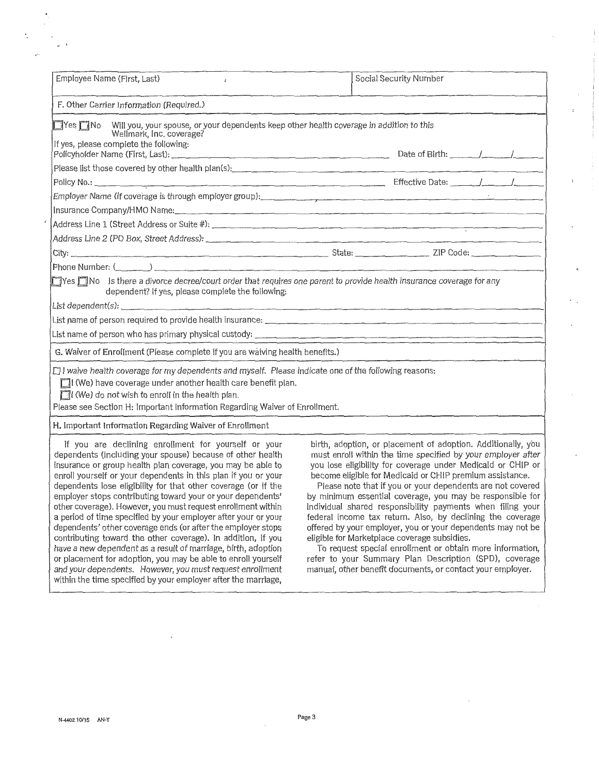| Employee Name (First, Last)<br>$\hat{i}$                                                                                                                                                                                                                                                                           |                                                              | Social Security Number |  |
|--------------------------------------------------------------------------------------------------------------------------------------------------------------------------------------------------------------------------------------------------------------------------------------------------------------------|--------------------------------------------------------------|------------------------|--|
| F. Other Carrier Information (Required.)                                                                                                                                                                                                                                                                           |                                                              |                        |  |
| ■Yes ■ No Will you, your spouse, or your dependents keep other health coverage in addition to this<br>Wellmark, Inc. coverage?                                                                                                                                                                                     |                                                              |                        |  |
| If yes, please complete the following:                                                                                                                                                                                                                                                                             |                                                              |                        |  |
| Please list those covered by other health plan(s): [14] The content of the content of the content of the covered by other health plan(s): [14] The content of the content of the content of the content of the content of the                                                                                      |                                                              |                        |  |
|                                                                                                                                                                                                                                                                                                                    |                                                              |                        |  |
| Employer Name (if coverage is through employer group): example and contact the control of the control of the control of the control of the control of the control of the control of the control of the control of the control                                                                                      |                                                              |                        |  |
| Insurance Company/HMO Name:<br>and the company/HMO Name:                                                                                                                                                                                                                                                           |                                                              |                        |  |
|                                                                                                                                                                                                                                                                                                                    |                                                              |                        |  |
|                                                                                                                                                                                                                                                                                                                    |                                                              |                        |  |
|                                                                                                                                                                                                                                                                                                                    |                                                              |                        |  |
| Phone Number; $($                                                                                                                                                                                                                                                                                                  |                                                              |                        |  |
| Tyes TNo Is there a divorce decree/court order that requires one parent to provide health insurance coverage for any<br>dependent? If yes, please complete the following:                                                                                                                                          |                                                              |                        |  |
|                                                                                                                                                                                                                                                                                                                    |                                                              |                        |  |
|                                                                                                                                                                                                                                                                                                                    |                                                              |                        |  |
|                                                                                                                                                                                                                                                                                                                    |                                                              |                        |  |
| G. Waiver of Enrollment (Please complete if you are waiving health benefits.)                                                                                                                                                                                                                                      |                                                              |                        |  |
| $\Box$ I waive health coverage for my dependents and myself. Please indicate one of the following reasons:<br>I (We) have coverage under another health care benefit plan.<br>$\Box$ (We) do not wish to enroll in the health plan.<br>Please see Section H: Important Information Regarding Waiver of Enrollment. |                                                              |                        |  |
| H. Important Information Regarding Waiver of Enrollment                                                                                                                                                                                                                                                            |                                                              |                        |  |
| If you are declining enrollment for yourself or your                                                                                                                                                                                                                                                               | birth, adoption, or placement of adoption. Additionally, you |                        |  |

dependents (including your spouse) because of other health must enroll within the time specified by your employer after insurance or group health plan coverage, you may be able to you lose eligibility for coverage under Medicaid or CHIP or enroll yourself or your dependents in this plan if you or your dependents lose eligibility for that other coverage (or if the Please note that if you or your dependents are not covered<br>employer stops contributing toward your or your dependents' by minimum essential coverage, you may b contributing toward the other coverage). In addition, if you eligible for Marketplace coverage subsidies. have a new dependent as a result of marriage, birth, adoption To request special enrollment or obtain more information, or placement for adoption, you may be able to enroll yourself refer to your Summary Plan Description ( or placement for adoption, you may be able to enroll yourself refer to your Summary Plan Description (SPD), coverage<br>and your dependents. However, you must request enrollment manual, other benefit documents, or contact you and your dependents. However, you must request enrollment within the time specified by your employer after the marriage,

by minimum essential coverage, you may be responsible for other coverage). However, you must request enrollment within individual shared responsibility payments when filing your<br>a period of time specified by your employer after your or your federal income tax return. Also, by dec a period of time specified by your employer after your or your federal income tax return. Also, by declining the coverage ends (or after the employer stops offered by your employer, you or your dependents may not be offered by your employer, you or your dependents may not be eligible for Marketplace coverage subsidies.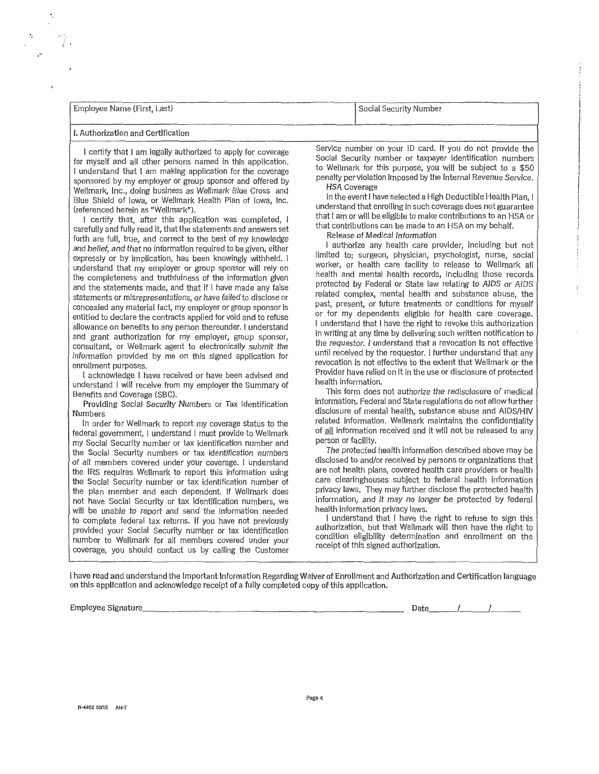| Employee Name (First, Last) | Social Security Number |
|-----------------------------|------------------------|
|                             |                        |

## I. Authorization and Certification

·.

 • ., ... j ,•

> for myself and all other persons named in this appllcation. Social Security number or taxpayer identification numbers I understand that I am making application for the coverage to Wellmark for this purpose, you will be subject to a \$50<br>penalty perviolation imposed by the internal Revenue Service. sponsored by my employer or group sponsor and offered by penalty per violation in penalty per violation in the I Wellmark, Inc., doing business as Wellmark Blue Cross and<br>Blue Shield of Jowa ar Wellmark Health Plan of Jowa Inc. **Howare** In the event I have selected a High Deductible Health Plan, I Blue Shield of Iowa, or Wellmark Health Plan of Iowa, Inc. In the event I have selected herein as "Wellmark").

> I certify that, after this application was completed,  $\frac{1}{1}$  that I am or will be eligible to make contributions to an HSA or my behalf. carefully and fully read it, that the statements and answers set that contributions can be made to a<br>Facth are full true, and agreed to the best of my lineur oddes forth are full, true, and correct to the best of my knowledge<br>and belief and that no information required to be given either and authorize any health care provider, including but not and belief, and that no information required to be given, either I authorize any health care provider, including but not expressly or by implication, has been knowingly withheld. I limited to; surgeon, physician, psychologist, nurse, social<br>understand that my employer or group sponsor will rely on worker, or health care facility to release t understand that my employer or group sponsor will rely on worker, or health care facility to release to wellmark all<br>the completences and truthfulness of the information given the completeness and truthfulness of the information given health and mental health records, including those records<br>protected by Federal or State law relating to AIDS or AIDS and the statements made, and that if I have made any false protected by Federal or State law relating to AIDS or AIDS<br>related complex, mental health and substance abuse, the statements or misrepresentations, or have failed to disclose or related complex, mental health and substance abuse, the<br>past, present, or future treatments or conditions for myself concealed any material fact, my employer or group sponsor is past, present, or future treatments or conditions for myself contracts and to refuse or for my dependents eligible for health care coverage. entitled to declare the contracts applied for void and to refuse or for my dependents eligible for health care coverage.<br>I understand that I have the right to revoke this authorization allowance on benefits to any person thereunder. I understand I understand that I have the right to revoke this authorization<br>In writing at any time by delivering such written notification to consultant, or Wellmark agent to electronically submit the the requester. I understand that a revocation Is not effective information provided by me on this signed application for

I acknowledge I have received or have been advised and Provider have relied on it is in the use of provider have relied on it is in the use of provider have relied on the use of protected in the use of protected in the use understand I will receive from my employer the Summary of

Providing Social Security Numbers or Tax Identification.<br>Numbers

In order for Wellmark to report my coverage status to the federal government, I understand I must provide to Wellmark of <u>all</u> information received and it will not be released to any review of the provide to Wellmark and person or facility. my Social Security number or tax identification number and<br>the Social Security numbers or tax identification numbers<br>The protected health information described above may be the Social Security numbers or tax identification numbers<br>of all members covered under your coverage Lunderstand disclosed to and/or received by persons or organizations that of all members covered under your coverage. I understand disclosed to and/or received by persons or organizations that<br>the IRS requires Wellmark to report this information using are not health plans, covered health care pr the IRS requires Wellmark to report this information using are not health plans, covered health care providers or health<br>the Social Security number or tax identification number of care clearinghouses subject to federal hea the Social Security number or tax identification number of care clearinghouses subject to rederal nealth information<br>the plan member and each dependent. If Wellmark does privacy laws. They may further disclose the protecte the plan member and each dependent. If Wellmark does privacy laws. They may further disclose the protected health<br>not have Social Security or tax identification numbers we information, and it may no longer be protected by not have Social Security or tax identification numbers, we information, and it may no long<br>will be unable to report and send the information needed bealth information privacy laws. will be unable to report and send the information needed<br>to complete federal tax returns. If you have not previously and understand that I have the right to refuse to sign this to complete federal tax returns. If you have not previously I understand that I have the right to refuse to sign this<br>authorization, but that Wellmark will then have the right to refuse to sign this identity in the right t provided your Social Security number or tax identification authorization, but that Wellmark will then have the right to number to Wellmark for all members covered under your condition eligibility determination receipt of this signed authorization. coverage, you should contact us by calling the Customer

I certify that I am legally authorized to apply for coverage Service number on your ID card. If you do not provide the<br>I myself and all other persons named in this application Social Security number or taxpayer identificat

understand that enrolling in such coverage does not guarantee<br>that I am or will be eligible to make contributions to an HSA or

and grant authorization for my employer, group sponsor, and in writing at any time by delivering such written notification to the requestor. I understand that a revocation is not effective enrollment purposes.<br>
enrollment purposes.<br>
revocation is not effective to the extent that Wellmark or the<br>
leader advised and<br>
Provider have relied on it in the use or disclosure of protected

Benefits and Coverage (SBC). This form does not authorize the redisclosure of medical<br>Benefits and Coverage (SBC). This form does not authorize the redisclosure of medical<br>Deputation Seciel Security Numbers of Tax Identifi disclosure of mental health, substance abuse and AIDS/HIV<br>related information. Wellmark maintains the confidentiality

I have read and understand the Important Information Regarding Waiver of Enrollment and Authorization and Certification language on this application and acknowledge receipt of a fully completed copy of this application.

Employee Signature. \_\_\_\_\_\_\_\_\_\_\_\_\_\_\_\_\_\_\_\_\_\_\_\_\_\_ \_ Date\_\_\_\_\_\_\_/\_\_\_\_\_\_\_/~~-